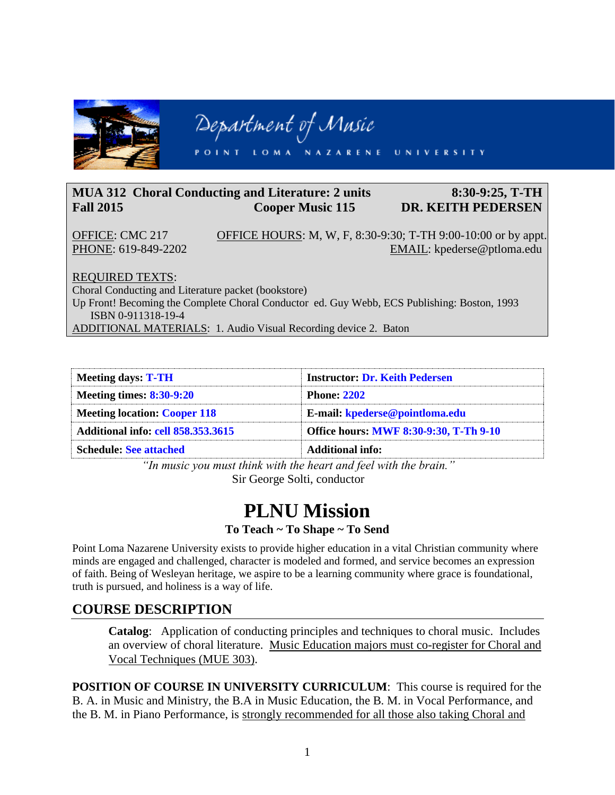

## **MUA 312 Choral Conducting and Literature: 2 units 8:30-9:25, T-TH Fall 2015 Cooper Music 115 DR. KEITH PEDERSEN**

OFFICE: CMC 217 OFFICE HOURS: M, W, F, 8:30-9:30; T-TH 9:00-10:00 or by appt. PHONE: 619-849-2202 EMAIL: kpederse@ptloma.edu

REQUIRED TEXTS:

Choral Conducting and Literature packet (bookstore)

Up Front! Becoming the Complete Choral Conductor ed. Guy Webb, ECS Publishing: Boston, 1993 ISBN 0-911318-19-4

ADDITIONAL MATERIALS: 1. Audio Visual Recording device 2. Baton

| <b>Meeting days: T-TH</b>                 | <b>Instructor: Dr. Keith Pedersen</b>  |
|-------------------------------------------|----------------------------------------|
| <b>Meeting times: 8:30-9:20</b>           | <b>Phone: 2202</b>                     |
| <b>Meeting location: Cooper 118</b>       | E-mail: kpederse@pointloma.edu         |
| <b>Additional info: cell 858.353.3615</b> | Office hours: MWF 8:30-9:30, T-Th 9-10 |
| <b>Schedule: See attached</b>             | Additional info:                       |

*"In music you must think with the heart and feel with the brain."* Sir George Solti, conductor

# **PLNU Mission**

#### **To Teach ~ To Shape ~ To Send**

Point Loma Nazarene University exists to provide higher education in a vital Christian community where minds are engaged and challenged, character is modeled and formed, and service becomes an expression of faith. Being of Wesleyan heritage, we aspire to be a learning community where grace is foundational, truth is pursued, and holiness is a way of life.

## **COURSE DESCRIPTION**

**Catalog**: Application of conducting principles and techniques to choral music. Includes an overview of choral literature. Music Education majors must co-register for Choral and Vocal Techniques (MUE 303).

**POSITION OF COURSE IN UNIVERSITY CURRICULUM**: This course is required for the B. A. in Music and Ministry, the B.A in Music Education, the B. M. in Vocal Performance, and the B. M. in Piano Performance, is strongly recommended for all those also taking Choral and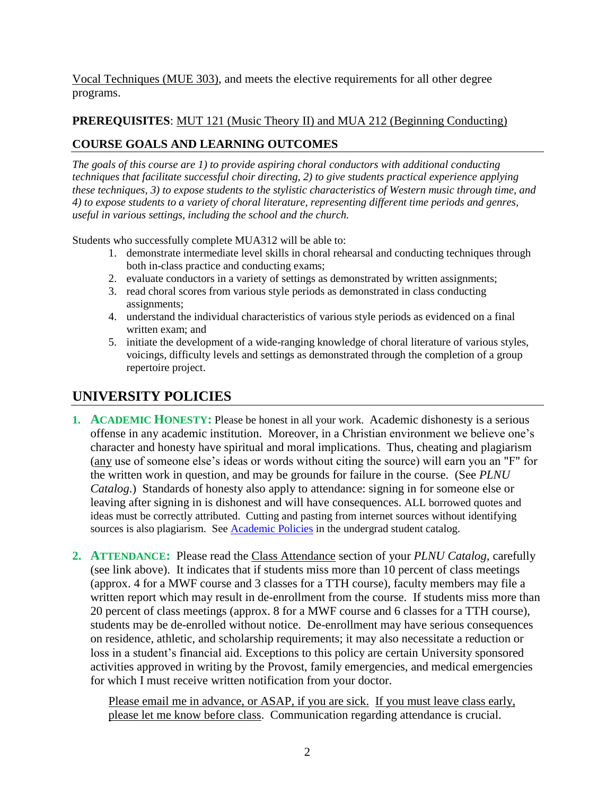Vocal Techniques (MUE 303), and meets the elective requirements for all other degree programs.

## **PREREQUISITES**: MUT 121 (Music Theory II) and MUA 212 (Beginning Conducting)

## **COURSE GOALS AND LEARNING OUTCOMES**

*The goals of this course are 1) to provide aspiring choral conductors with additional conducting techniques that facilitate successful choir directing, 2) to give students practical experience applying these techniques, 3) to expose students to the stylistic characteristics of Western music through time, and 4) to expose students to a variety of choral literature, representing different time periods and genres, useful in various settings, including the school and the church.*

Students who successfully complete MUA312 will be able to:

- 1. demonstrate intermediate level skills in choral rehearsal and conducting techniques through both in-class practice and conducting exams;
- 2. evaluate conductors in a variety of settings as demonstrated by written assignments;
- 3. read choral scores from various style periods as demonstrated in class conducting assignments;
- 4. understand the individual characteristics of various style periods as evidenced on a final written exam; and
- 5. initiate the development of a wide-ranging knowledge of choral literature of various styles, voicings, difficulty levels and settings as demonstrated through the completion of a group repertoire project.

## **UNIVERSITY POLICIES**

- **1. ACADEMIC HONESTY:** Please be honest in all your work. Academic dishonesty is a serious offense in any academic institution. Moreover, in a Christian environment we believe one's character and honesty have spiritual and moral implications. Thus, cheating and plagiarism (any use of someone else's ideas or words without citing the source) will earn you an "F" for the written work in question, and may be grounds for failure in the course. (See *PLNU Catalog*.) Standards of honesty also apply to attendance: signing in for someone else or leaving after signing in is dishonest and will have consequences. ALL borrowed quotes and ideas must be correctly attributed. Cutting and pasting from internet sources without identifying sources is also plagiarism. See **Academic Policies** in the undergrad student catalog.
- **2. ATTENDANCE:** Please read the Class Attendance section of your *PLNU Catalog,* carefully (see link above). It indicates that if students miss more than 10 percent of class meetings (approx. 4 for a MWF course and 3 classes for a TTH course), faculty members may file a written report which may result in de-enrollment from the course. If students miss more than 20 percent of class meetings (approx. 8 for a MWF course and 6 classes for a TTH course), students may be de-enrolled without notice. De-enrollment may have serious consequences on residence, athletic, and scholarship requirements; it may also necessitate a reduction or loss in a student's financial aid. Exceptions to this policy are certain University sponsored activities approved in writing by the Provost, family emergencies, and medical emergencies for which I must receive written notification from your doctor.

Please email me in advance, or ASAP, if you are sick. If you must leave class early, please let me know before class. Communication regarding attendance is crucial.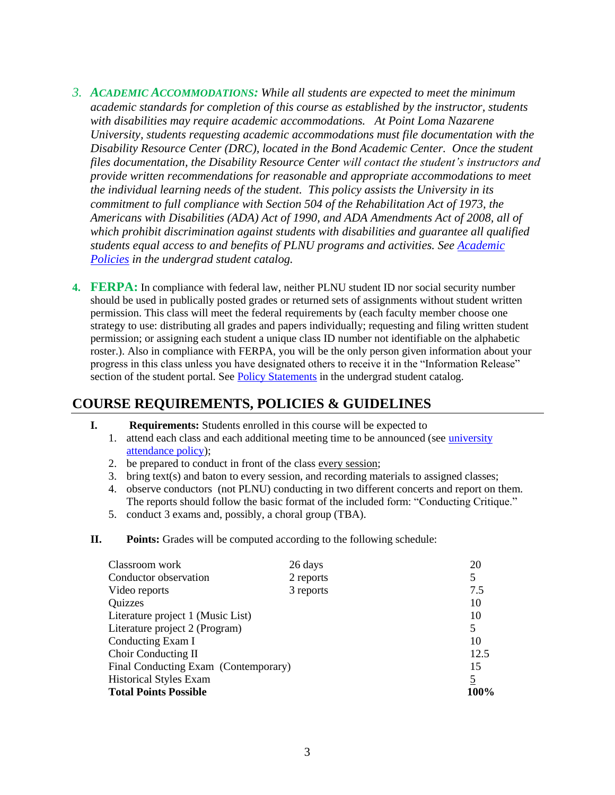- *3. ACADEMIC ACCOMMODATIONS: While all students are expected to meet the minimum academic standards for completion of this course as established by the instructor, students with disabilities may require academic accommodations. At Point Loma Nazarene University, students requesting academic accommodations must file documentation with the Disability Resource Center (DRC), located in the Bond Academic Center. Once the student files documentation, the Disability Resource Center will contact the student's instructors and provide written recommendations for reasonable and appropriate accommodations to meet the individual learning needs of the student. This policy assists the University in its commitment to full compliance with Section 504 of the Rehabilitation Act of 1973, the Americans with Disabilities (ADA) Act of 1990, and ADA Amendments Act of 2008, all of which prohibit discrimination against students with disabilities and guarantee all qualified students equal access to and benefits of PLNU programs and activities. See [Academic](http://www.pointloma.edu/experience/academics/catalogs/undergraduate-catalog/point-loma-education/academic-policies)  [Policies](http://www.pointloma.edu/experience/academics/catalogs/undergraduate-catalog/point-loma-education/academic-policies) in the undergrad student catalog.*
- **4. FERPA:** In compliance with federal law, neither PLNU student ID nor social security number should be used in publically posted grades or returned sets of assignments without student written permission. This class will meet the federal requirements by (each faculty member choose one strategy to use: distributing all grades and papers individually; requesting and filing written student permission; or assigning each student a unique class ID number not identifiable on the alphabetic roster.). Also in compliance with FERPA, you will be the only person given information about your progress in this class unless you have designated others to receive it in the "Information Release" section of the student portal. See [Policy Statements](http://www.pointloma.edu/experience/academics/catalogs/undergraduate-catalog/policy-statements) in the undergrad student catalog.

## **COURSE REQUIREMENTS, POLICIES & GUIDELINES**

- **I. Requirements:** Students enrolled in this course will be expected to
	- 1. attend each class and each additional meeting time to be announced (see [university](http://www.ptloma.edu/academicaffairs/Catalogs/ug/Program/aca_regultn.htm#Class%20Attendance)  [attendance policy\)](http://www.ptloma.edu/academicaffairs/Catalogs/ug/Program/aca_regultn.htm#Class%20Attendance);
	- 2. be prepared to conduct in front of the class every session;
	- 3. bring text(s) and baton to every session, and recording materials to assigned classes;
	- 4. observe conductors (not PLNU) conducting in two different concerts and report on them. The reports should follow the basic format of the included form: "Conducting Critique."
	- 5. conduct 3 exams and, possibly, a choral group (TBA).
- **II. Points:** Grades will be computed according to the following schedule:

| Classroom work                       | 26 days   | 20             |
|--------------------------------------|-----------|----------------|
| Conductor observation                | 2 reports | 5              |
| Video reports                        | 3 reports | 7.5            |
| Quizzes                              |           | 10             |
| Literature project 1 (Music List)    |           | 10             |
| Literature project 2 (Program)       |           | 5              |
| Conducting Exam I                    |           | 10             |
| Choir Conducting II                  |           | 12.5           |
| Final Conducting Exam (Contemporary) |           | 15             |
| <b>Historical Styles Exam</b>        |           | $\overline{5}$ |
| <b>Total Points Possible</b>         |           | 100%           |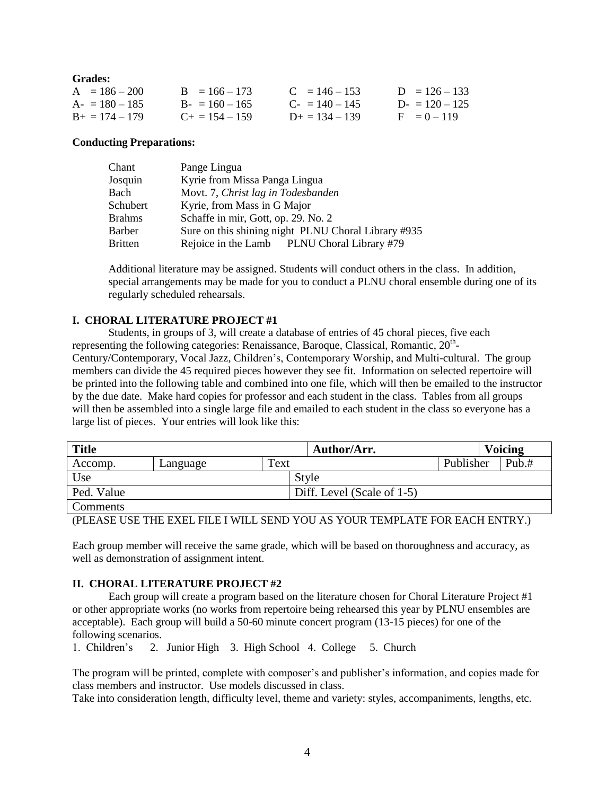| Grades:           |                       |                            |                 |
|-------------------|-----------------------|----------------------------|-----------------|
| $A = 186 - 200$   | $B = 166 - 173$       | $C = 146 - 153$            | $D = 126 - 133$ |
| $A = 180 - 185$   | $B - 160 - 165$       | $C_{\text{F}} = 140 - 145$ | $D = 120 - 125$ |
| $B_+ = 174 - 179$ | $C_{\pm} = 154 - 159$ | $D_{\pm} = 134 - 139$      | $F = 0 - 119$   |

#### **Conducting Preparations:**

 $G_{\text{max}}$ 

| Chant          | Pange Lingua                                        |
|----------------|-----------------------------------------------------|
| Josquin        | Kyrie from Missa Panga Lingua                       |
| Bach           | Movt. 7, Christ lag in Todesbanden                  |
| Schubert       | Kyrie, from Mass in G Major                         |
| <b>Brahms</b>  | Schaffe in mir, Gott, op. 29. No. 2                 |
| Barber         | Sure on this shining night PLNU Choral Library #935 |
| <b>Britten</b> | Rejoice in the Lamb PLNU Choral Library #79         |

Additional literature may be assigned. Students will conduct others in the class. In addition, special arrangements may be made for you to conduct a PLNU choral ensemble during one of its regularly scheduled rehearsals.

#### **I. CHORAL LITERATURE PROJECT #1**

Students, in groups of 3, will create a database of entries of 45 choral pieces, five each representing the following categories: Renaissance, Baroque, Classical, Romantic,  $20^{\text{th}}$ -Century/Contemporary, Vocal Jazz, Children's, Contemporary Worship, and Multi-cultural. The group members can divide the 45 required pieces however they see fit. Information on selected repertoire will be printed into the following table and combined into one file, which will then be emailed to the instructor by the due date. Make hard copies for professor and each student in the class. Tables from all groups will then be assembled into a single large file and emailed to each student in the class so everyone has a large list of pieces. Your entries will look like this:

| <b>Title</b> |          |      | Author/Arr.                |           | <b>Voicing</b> |
|--------------|----------|------|----------------------------|-----------|----------------|
| Accomp.      | Language | Text |                            | Publisher | Pub.#          |
| Use          |          |      | Style                      |           |                |
| Ped. Value   |          |      | Diff. Level (Scale of 1-5) |           |                |
| Comments     |          |      |                            |           |                |

(PLEASE USE THE EXEL FILE I WILL SEND YOU AS YOUR TEMPLATE FOR EACH ENTRY.)

Each group member will receive the same grade, which will be based on thoroughness and accuracy, as well as demonstration of assignment intent.

#### **II. CHORAL LITERATURE PROJECT #2**

Each group will create a program based on the literature chosen for Choral Literature Project #1 or other appropriate works (no works from repertoire being rehearsed this year by PLNU ensembles are acceptable). Each group will build a 50-60 minute concert program (13-15 pieces) for one of the following scenarios.

1. Children's 2. Junior High 3. High School 4. College 5. Church

The program will be printed, complete with composer's and publisher's information, and copies made for class members and instructor. Use models discussed in class.

Take into consideration length, difficulty level, theme and variety: styles, accompaniments, lengths, etc.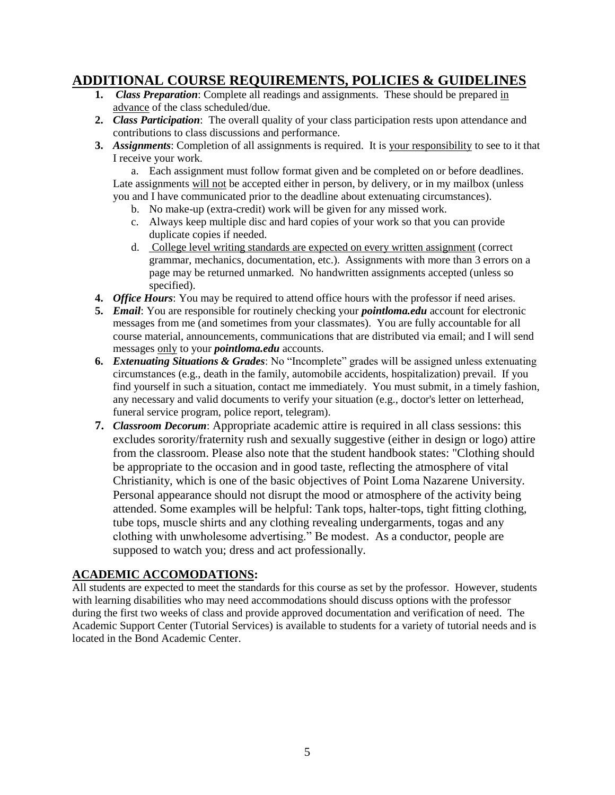## **ADDITIONAL COURSE REQUIREMENTS, POLICIES & GUIDELINES**

- **1.** *Class Preparation*: Complete all readings and assignments. These should be prepared in advance of the class scheduled/due.
- **2.** *Class Participation*: The overall quality of your class participation rests upon attendance and contributions to class discussions and performance.
- **3.** *Assignments:* Completion of all assignments is required. It is your responsibility to see to it that I receive your work.

a. Each assignment must follow format given and be completed on or before deadlines. Late assignments will not be accepted either in person, by delivery, or in my mailbox (unless you and I have communicated prior to the deadline about extenuating circumstances).

- b. No make-up (extra-credit) work will be given for any missed work.
- c. Always keep multiple disc and hard copies of your work so that you can provide duplicate copies if needed.
- d. College level writing standards are expected on every written assignment (correct grammar, mechanics, documentation, etc.). Assignments with more than 3 errors on a page may be returned unmarked. No handwritten assignments accepted (unless so specified).
- **4.** *Office Hours*: You may be required to attend office hours with the professor if need arises.
- **5.** *Email:* You are responsible for routinely checking your *pointloma.edu* account for electronic messages from me (and sometimes from your classmates). You are fully accountable for all course material, announcements, communications that are distributed via email; and I will send messages only to your *pointloma.edu* accounts.
- **6.** *Extenuating Situations & Grades*: No "Incomplete" grades will be assigned unless extenuating circumstances (e.g., death in the family, automobile accidents, hospitalization) prevail. If you find yourself in such a situation, contact me immediately. You must submit, in a timely fashion, any necessary and valid documents to verify your situation (e.g., doctor's letter on letterhead, funeral service program, police report, telegram).
- **7.** *Classroom Decorum*: Appropriate academic attire is required in all class sessions: this excludes sorority/fraternity rush and sexually suggestive (either in design or logo) attire from the classroom. Please also note that the student handbook states: "Clothing should be appropriate to the occasion and in good taste, reflecting the atmosphere of vital Christianity, which is one of the basic objectives of Point Loma Nazarene University. Personal appearance should not disrupt the mood or atmosphere of the activity being attended. Some examples will be helpful: Tank tops, halter-tops, tight fitting clothing, tube tops, muscle shirts and any clothing revealing undergarments, togas and any clothing with unwholesome advertising." Be modest. As a conductor, people are supposed to watch you; dress and act professionally.

#### **ACADEMIC ACCOMODATIONS:**

All students are expected to meet the standards for this course as set by the professor. However, students with learning disabilities who may need accommodations should discuss options with the professor during the first two weeks of class and provide approved documentation and verification of need. The Academic Support Center (Tutorial Services) is available to students for a variety of tutorial needs and is located in the Bond Academic Center.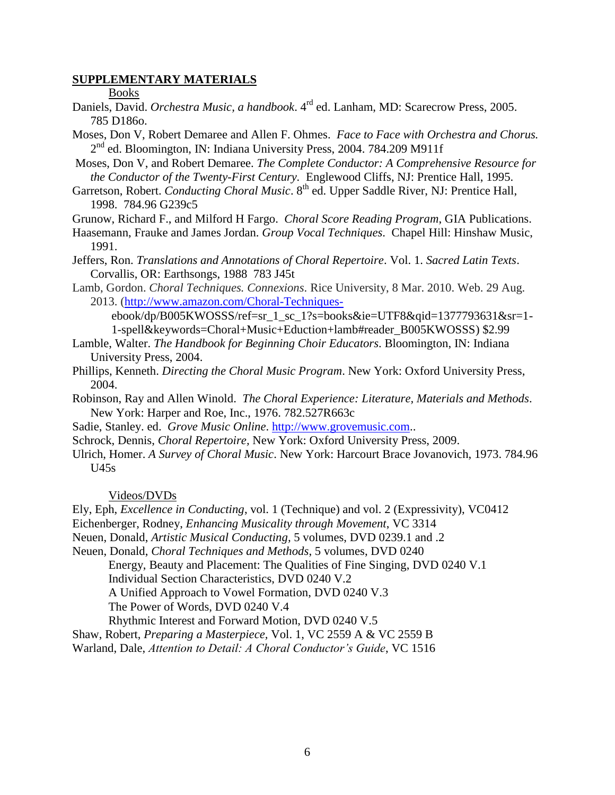#### **SUPPLEMENTARY MATERIALS**

Books

- Daniels, David. *Orchestra Music, a handbook*. 4 rd ed. Lanham, MD: Scarecrow Press, 2005. 785 D186o.
- Moses, Don V, Robert Demaree and Allen F. Ohmes. *Face to Face with Orchestra and Chorus.*  2<sup>nd</sup> ed. Bloomington, IN: Indiana University Press, 2004. [784.209 M911f](http://phineas.pointloma.edu/search~S0?/c784.209+M911f/c784.209+m911f/-3,-1,,E/browse)
- Moses, Don V, and Robert Demaree. *The Complete Conductor: A Comprehensive Resource for the Conductor of the Twenty-First Century.* Englewood Cliffs, NJ: Prentice Hall, 1995.
- Garretson, Robert. *Conducting Choral Music*. 8<sup>th</sup> ed. Upper Saddle River, NJ: Prentice Hall, 1998. 784.96 G239c5
- Grunow, Richard F., and Milford H Fargo. *Choral Score Reading Program*, GIA Publications.
- Haasemann, Frauke and James Jordan. *Group Vocal Techniques*. Chapel Hill: Hinshaw Music, 1991.
- Jeffers, Ron. *Translations and Annotations of Choral Repertoire*. Vol. 1. *Sacred Latin Texts*. Corvallis, OR: Earthsongs, 1988 783 J45t
- Lamb, Gordon. *Choral Techniques. Connexions*. Rice University, 8 Mar. 2010. Web. 29 Aug. 2013. [\(http://www.amazon.com/Choral-Techniques-](http://www.amazon.com/Choral-Techniques-)

 ebook/dp/B005KWOSSS/ref=sr\_1\_sc\_1?s=books&ie=UTF8&qid=1377793631&sr=1- 1-spell&keywords=Choral+Music+Eduction+lamb#reader\_B005KWOSSS) \$2.99

- Lamble, Walter. *The Handbook for Beginning Choir Educators*. Bloomington, IN: Indiana University Press, 2004.
- Phillips, Kenneth. *Directing the Choral Music Program*. New York: Oxford University Press, 2004.
- Robinson, Ray and Allen Winold. *The Choral Experience: Literature, Materials and Methods*. New York: Harper and Roe, Inc., 1976. 782.527R663c
- Sadie, Stanley. ed. *Grove Music Online*. [http://www.grovemusic.com.](http://www.grovemusic.com/).
- Schrock, Dennis, *Choral Repertoire,* New York: Oxford University Press, 2009.
- Ulrich, Homer. *A Survey of Choral Music*. New York: Harcourt Brace Jovanovich, 1973. 784.96  $U45s$

#### Videos/DVDs

- Ely, Eph, *Excellence in Conducting*, vol. 1 (Technique) and vol. 2 (Expressivity), VC0412
- Eichenberger, Rodney, *Enhancing Musicality through Movement*, VC 3314
- Neuen, Donald, *Artistic Musical Conducting,* 5 volumes, DVD 0239.1 and .2
- Neuen, Donald, *Choral Techniques and Methods*, 5 volumes, DVD 0240

Energy, Beauty and Placement: The Qualities of Fine Singing, DVD 0240 V.1

Individual Section Characteristics, DVD 0240 V.2

A Unified Approach to Vowel Formation, DVD 0240 V.3

The Power of Words, DVD 0240 V.4

Rhythmic Interest and Forward Motion, DVD 0240 V.5

Shaw, Robert, *Preparing a Masterpiece,* Vol. 1, VC 2559 A & VC 2559 B

Warland, Dale, *Attention to Detail: A Choral Conductor's Guide*, VC 1516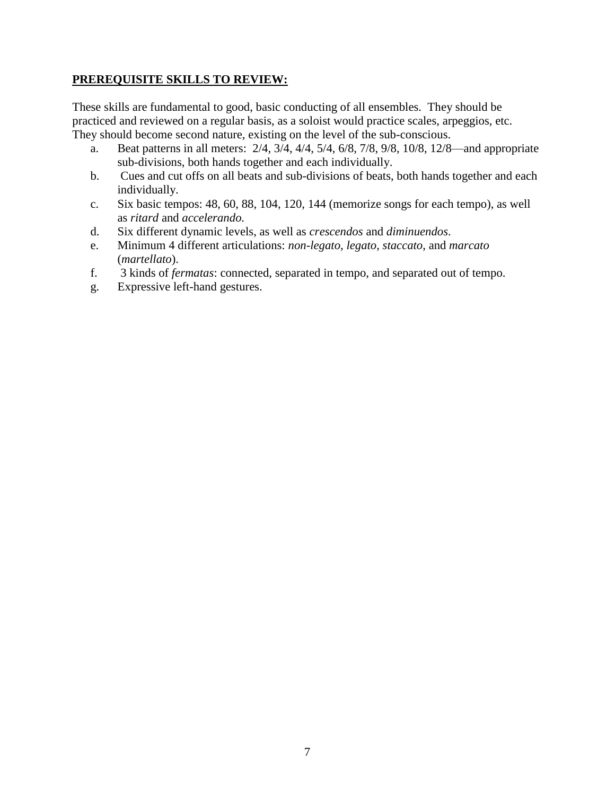#### **PREREQUISITE SKILLS TO REVIEW:**

These skills are fundamental to good, basic conducting of all ensembles. They should be practiced and reviewed on a regular basis, as a soloist would practice scales, arpeggios, etc. They should become second nature, existing on the level of the sub-conscious.

- a. Beat patterns in all meters: 2/4, 3/4, 4/4, 5/4, 6/8, 7/8, 9/8, 10/8, 12/8—and appropriate sub-divisions, both hands together and each individually.
- b. Cues and cut offs on all beats and sub-divisions of beats, both hands together and each individually.
- c. Six basic tempos: 48, 60, 88, 104, 120, 144 (memorize songs for each tempo), as well as *ritard* and *accelerando.*
- d. Six different dynamic levels, as well as *crescendos* and *diminuendos*.
- e. Minimum 4 different articulations: *non-legato*, *legato*, *staccato*, and *marcato*  (*martellato*).
- f. 3 kinds of *fermatas*: connected, separated in tempo, and separated out of tempo.
- g. Expressive left-hand gestures.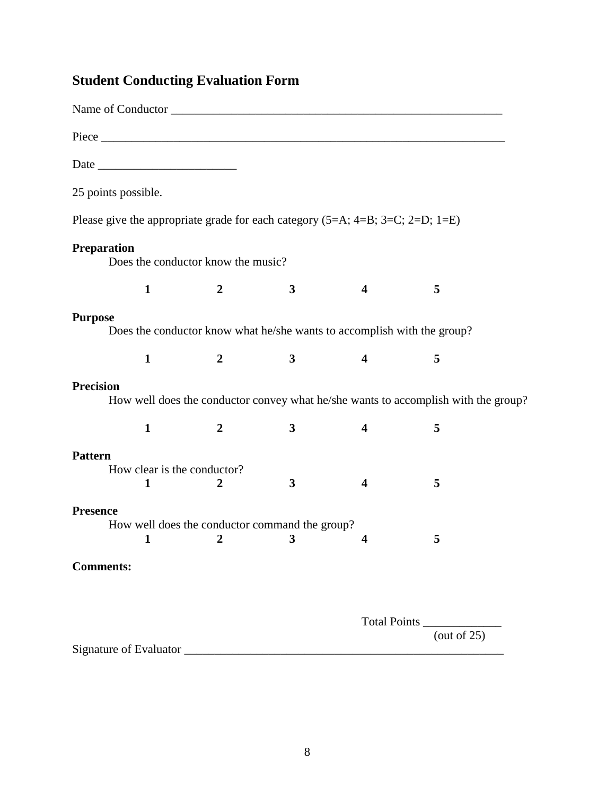# **Student Conducting Evaluation Form**

| 25 points possible. |                                  |                                                                                 |   |                         |                                                                                    |  |
|---------------------|----------------------------------|---------------------------------------------------------------------------------|---|-------------------------|------------------------------------------------------------------------------------|--|
|                     |                                  | Please give the appropriate grade for each category $(5=A; 4=B; 3=C; 2=D; 1=E)$ |   |                         |                                                                                    |  |
| <b>Preparation</b>  |                                  | Does the conductor know the music?                                              |   |                         |                                                                                    |  |
|                     | $\mathbf{1}$                     | $\boldsymbol{2}$                                                                | 3 | 4                       | 5                                                                                  |  |
| <b>Purpose</b>      |                                  | Does the conductor know what he/she wants to accomplish with the group?         |   |                         |                                                                                    |  |
|                     | $\mathbf{1}$                     | $\boldsymbol{2}$                                                                | 3 | $\overline{\mathbf{4}}$ | 5                                                                                  |  |
| <b>Precision</b>    |                                  |                                                                                 |   |                         | How well does the conductor convey what he/she wants to accomplish with the group? |  |
|                     | $\mathbf{1}$                     | $\boldsymbol{2}$                                                                | 3 | 4                       | 5                                                                                  |  |
| <b>Pattern</b>      | How clear is the conductor?<br>1 | $\overline{2}$                                                                  | 3 | 4                       | 5                                                                                  |  |
| <b>Presence</b>     |                                  |                                                                                 |   |                         |                                                                                    |  |
|                     | $\mathbf{1}$                     | How well does the conductor command the group?<br>2                             | 3 | $\boldsymbol{4}$        | 5                                                                                  |  |
| <b>Comments:</b>    |                                  |                                                                                 |   |                         |                                                                                    |  |
|                     |                                  |                                                                                 |   |                         |                                                                                    |  |
|                     |                                  |                                                                                 |   |                         | Total Points                                                                       |  |
|                     |                                  |                                                                                 |   |                         | (out of $25$ )                                                                     |  |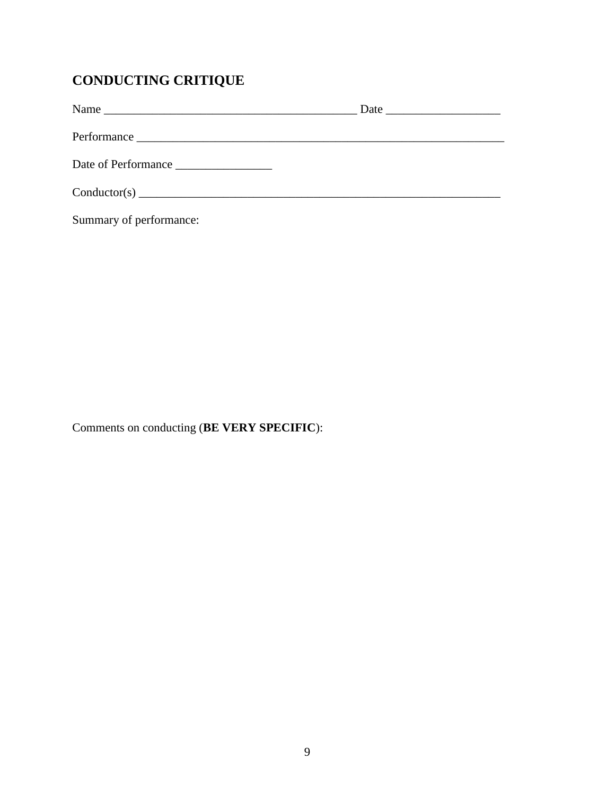# **CONDUCTING CRITIQUE**

| Name                |  |
|---------------------|--|
|                     |  |
| Date of Performance |  |
|                     |  |

Summary of performance:

Comments on conducting (**BE VERY SPECIFIC**):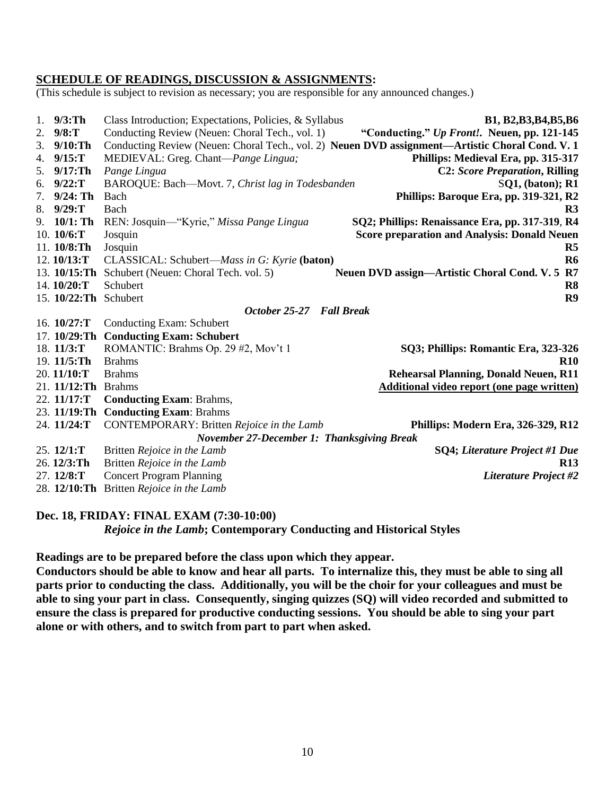#### **SCHEDULE OF READINGS, DISCUSSION & ASSIGNMENTS:**

(This schedule is subject to revision as necessary; you are responsible for any announced changes.)

| 1. $9/3:Th$            | Class Introduction; Expectations, Policies, & Syllabus | B1, B2, B3, B4, B5, B6                                                                          |
|------------------------|--------------------------------------------------------|-------------------------------------------------------------------------------------------------|
| 2. $9/8:T$             | Conducting Review (Neuen: Choral Tech., vol. 1)        | "Conducting." Up Front!. Neuen, pp. 121-145                                                     |
| $9/10$ :Th<br>3.       |                                                        | Conducting Review (Neuen: Choral Tech., vol. 2) Neuen DVD assignment-Artistic Choral Cond. V. 1 |
| 4. $9/15:T$            | MEDIEVAL: Greg. Chant-Pange Lingua;                    | Phillips: Medieval Era, pp. 315-317                                                             |
| 5. 9/17: Th            | Pange Lingua                                           | <b>C2: Score Preparation, Rilling</b>                                                           |
| 6. $9/22:T$            | BAROQUE: Bach-Movt. 7, Christ lag in Todesbanden       | $SO1$ , (baton); R1                                                                             |
| $9/24$ : Th            | Bach                                                   | Phillips: Baroque Era, pp. 319-321, R2                                                          |
| 8. $9/29:T$            | Bach                                                   | R <sub>3</sub>                                                                                  |
| 9. $10/1$ : Th         | REN: Josquin—"Kyrie," Missa Pange Lingua               | SQ2; Phillips: Renaissance Era, pp. 317-319, R4                                                 |
| 10. $10/6$ :T          | Josquin                                                | <b>Score preparation and Analysis: Donald Neuen</b>                                             |
| 11. 10/8:Th            | Josquin                                                | R <sub>5</sub>                                                                                  |
| 12.10/13:T             | CLASSICAL: Schubert-Mass in G: Kyrie (baton)           | R <sub>6</sub>                                                                                  |
| 13. $10/15$ : Th       | Schubert (Neuen: Choral Tech. vol. 5)                  | R7<br>Neuen DVD assign—Artistic Choral Cond. V. 5                                               |
| 14.10/20:T             | Schubert                                               | R <sub>8</sub>                                                                                  |
| 15. 10/22: Th Schubert |                                                        | R9                                                                                              |
|                        | October 25-27                                          | <b>Fall Break</b>                                                                               |
| 16. 10/27:T            | Conducting Exam: Schubert                              |                                                                                                 |
| 17. $10/29$ :Th        | <b>Conducting Exam: Schubert</b>                       |                                                                                                 |
| 18. 11/3:T             | ROMANTIC: Brahms Op. 29 #2, Mov't 1                    | SQ3; Phillips: Romantic Era, 323-326                                                            |
| 19. 11/5: Th           | <b>Brahms</b>                                          | <b>R10</b>                                                                                      |
| 20.11/10:T             | <b>Brahms</b>                                          | <b>Rehearsal Planning, Donald Neuen, R11</b>                                                    |
| $21.11/12$ :Th         | <b>Brahms</b>                                          | <b>Additional video report (one page written)</b>                                               |
| 22. 11/17:T            | <b>Conducting Exam: Brahms,</b>                        |                                                                                                 |
| 23. 11/19:Th           | <b>Conducting Exam: Brahms</b>                         |                                                                                                 |
| 24. 11/24:T            | CONTEMPORARY: Britten Rejoice in the Lamb              | Phillips: Modern Era, 326-329, R12                                                              |
|                        | <b>November 27-December 1: Thanksgiving Break</b>      |                                                                                                 |
|                        |                                                        |                                                                                                 |
| 25.12/1:T              | Britten Rejoice in the Lamb                            | SQ4; Literature Project #1 Due                                                                  |
| 26.12/3:Th             | Britten Rejoice in the Lamb                            | <b>R13</b>                                                                                      |
| 27. 12/8:T             | <b>Concert Program Planning</b>                        | <b>Literature Project #2</b>                                                                    |

#### **Dec. 18, FRIDAY: FINAL EXAM (7:30-10:00)**

*Rejoice in the Lamb***; Contemporary Conducting and Historical Styles**

**Readings are to be prepared before the class upon which they appear.**

**Conductors should be able to know and hear all parts. To internalize this, they must be able to sing all parts prior to conducting the class. Additionally, you will be the choir for your colleagues and must be able to sing your part in class. Consequently, singing quizzes (SQ) will video recorded and submitted to ensure the class is prepared for productive conducting sessions. You should be able to sing your part alone or with others, and to switch from part to part when asked.**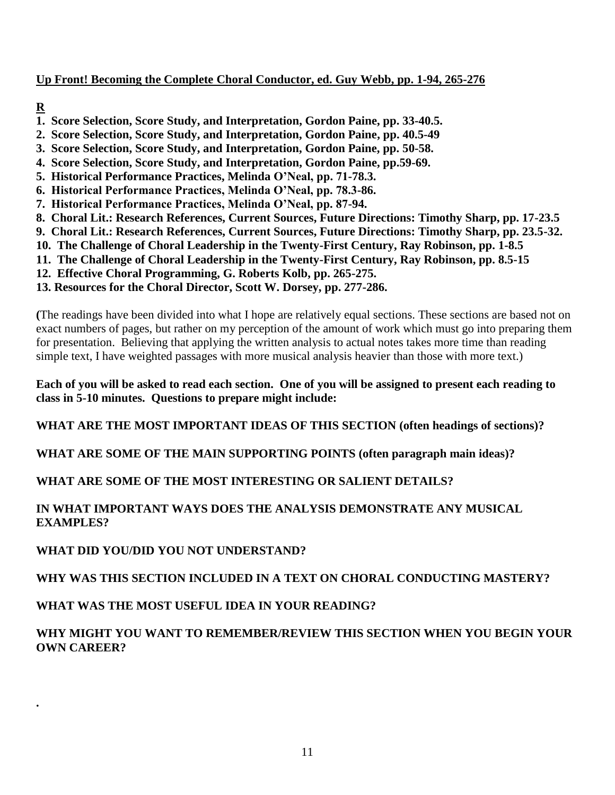#### **Up Front! Becoming the Complete Choral Conductor, ed. Guy Webb, pp. 1-94, 265-276**

## **R**

**.**

- **1. Score Selection, Score Study, and Interpretation, Gordon Paine, pp. 33-40.5.**
- **2. Score Selection, Score Study, and Interpretation, Gordon Paine, pp. 40.5-49**
- **3. Score Selection, Score Study, and Interpretation, Gordon Paine, pp. 50-58.**
- **4. Score Selection, Score Study, and Interpretation, Gordon Paine, pp.59-69.**
- **5. Historical Performance Practices, Melinda O'Neal, pp. 71-78.3.**
- **6. Historical Performance Practices, Melinda O'Neal, pp. 78.3-86.**
- **7. Historical Performance Practices, Melinda O'Neal, pp. 87-94.**
- **8. Choral Lit.: Research References, Current Sources, Future Directions: Timothy Sharp, pp. 17-23.5**
- **9. Choral Lit.: Research References, Current Sources, Future Directions: Timothy Sharp, pp. 23.5-32.**
- **10. The Challenge of Choral Leadership in the Twenty-First Century, Ray Robinson, pp. 1-8.5**
- **11. The Challenge of Choral Leadership in the Twenty-First Century, Ray Robinson, pp. 8.5-15**
- **12. Effective Choral Programming, G. Roberts Kolb, pp. 265-275.**
- **13. Resources for the Choral Director, Scott W. Dorsey, pp. 277-286.**

**(**The readings have been divided into what I hope are relatively equal sections. These sections are based not on exact numbers of pages, but rather on my perception of the amount of work which must go into preparing them for presentation. Believing that applying the written analysis to actual notes takes more time than reading simple text, I have weighted passages with more musical analysis heavier than those with more text.)

**Each of you will be asked to read each section. One of you will be assigned to present each reading to class in 5-10 minutes. Questions to prepare might include:**

**WHAT ARE THE MOST IMPORTANT IDEAS OF THIS SECTION (often headings of sections)?**

**WHAT ARE SOME OF THE MAIN SUPPORTING POINTS (often paragraph main ideas)?**

## **WHAT ARE SOME OF THE MOST INTERESTING OR SALIENT DETAILS?**

#### **IN WHAT IMPORTANT WAYS DOES THE ANALYSIS DEMONSTRATE ANY MUSICAL EXAMPLES?**

**WHAT DID YOU/DID YOU NOT UNDERSTAND?**

## **WHY WAS THIS SECTION INCLUDED IN A TEXT ON CHORAL CONDUCTING MASTERY?**

## **WHAT WAS THE MOST USEFUL IDEA IN YOUR READING?**

#### **WHY MIGHT YOU WANT TO REMEMBER/REVIEW THIS SECTION WHEN YOU BEGIN YOUR OWN CAREER?**